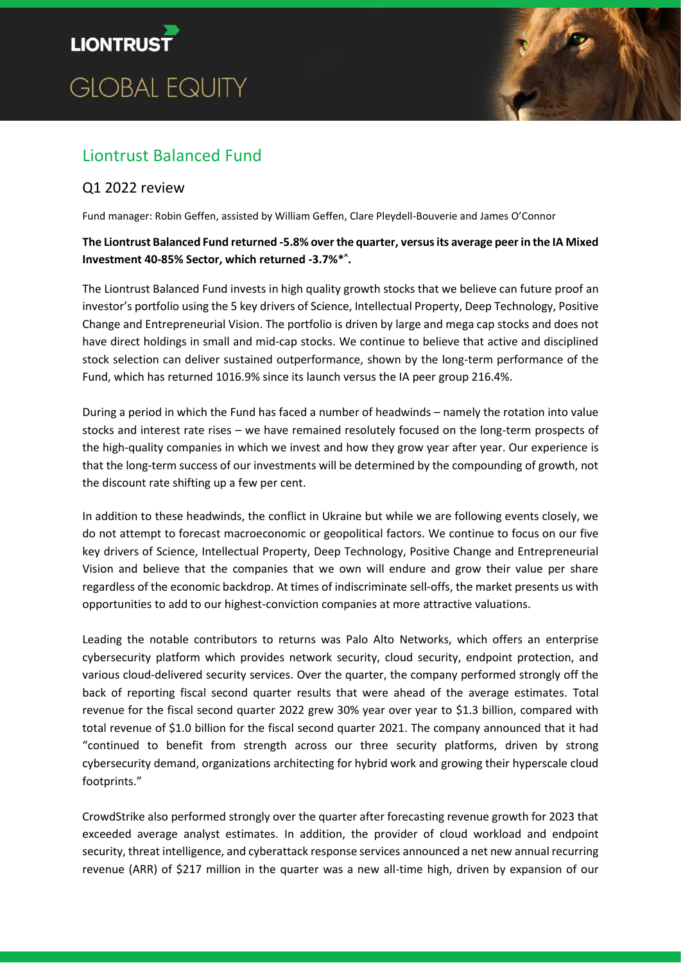# **LIONTRUST GLOBAL EQUITY**



## Liontrust Balanced Fund

### Q1 2022 review

Fund manager: Robin Geffen, assisted by William Geffen, Clare Pleydell-Bouverie and James O'Connor

#### **The Liontrust Balanced Fund returned -5.8% over the quarter, versusits average peer in the IA Mixed Investment 40-85% Sector, which returned -3.7%\* ^ .**

The Liontrust Balanced Fund invests in high quality growth stocks that we believe can future proof an investor's portfolio using the 5 key drivers of Science, Intellectual Property, Deep Technology, Positive Change and Entrepreneurial Vision. The portfolio is driven by large and mega cap stocks and does not have direct holdings in small and mid-cap stocks. We continue to believe that active and disciplined stock selection can deliver sustained outperformance, shown by the long-term performance of the Fund, which has returned 1016.9% since its launch versus the IA peer group 216.4%.

During a period in which the Fund has faced a number of headwinds – namely the rotation into value stocks and interest rate rises – we have remained resolutely focused on the long-term prospects of the high-quality companies in which we invest and how they grow year after year. Our experience is that the long-term success of our investments will be determined by the compounding of growth, not the discount rate shifting up a few per cent.

In addition to these headwinds, the conflict in Ukraine but while we are following events closely, we do not attempt to forecast macroeconomic or geopolitical factors. We continue to focus on our five key drivers of Science, Intellectual Property, Deep Technology, Positive Change and Entrepreneurial Vision and believe that the companies that we own will endure and grow their value per share regardless of the economic backdrop. At times of indiscriminate sell-offs, the market presents us with opportunities to add to our highest-conviction companies at more attractive valuations.

Leading the notable contributors to returns was Palo Alto Networks, which offers an enterprise cybersecurity platform which provides network security, cloud security, endpoint protection, and various cloud-delivered security services. Over the quarter, the company performed strongly off the back of reporting fiscal second quarter results that were ahead of the average estimates. Total revenue for the fiscal second quarter 2022 grew 30% year over year to \$1.3 billion, compared with total revenue of \$1.0 billion for the fiscal second quarter 2021. The company announced that it had "continued to benefit from strength across our three security platforms, driven by strong cybersecurity demand, organizations architecting for hybrid work and growing their hyperscale cloud footprints."

CrowdStrike also performed strongly over the quarter after forecasting revenue growth for 2023 that exceeded average analyst estimates. In addition, the provider of cloud workload and endpoint security, threat intelligence, and cyberattack response services announced a net new annual recurring revenue (ARR) of \$217 million in the quarter was a new all-time high, driven by expansion of our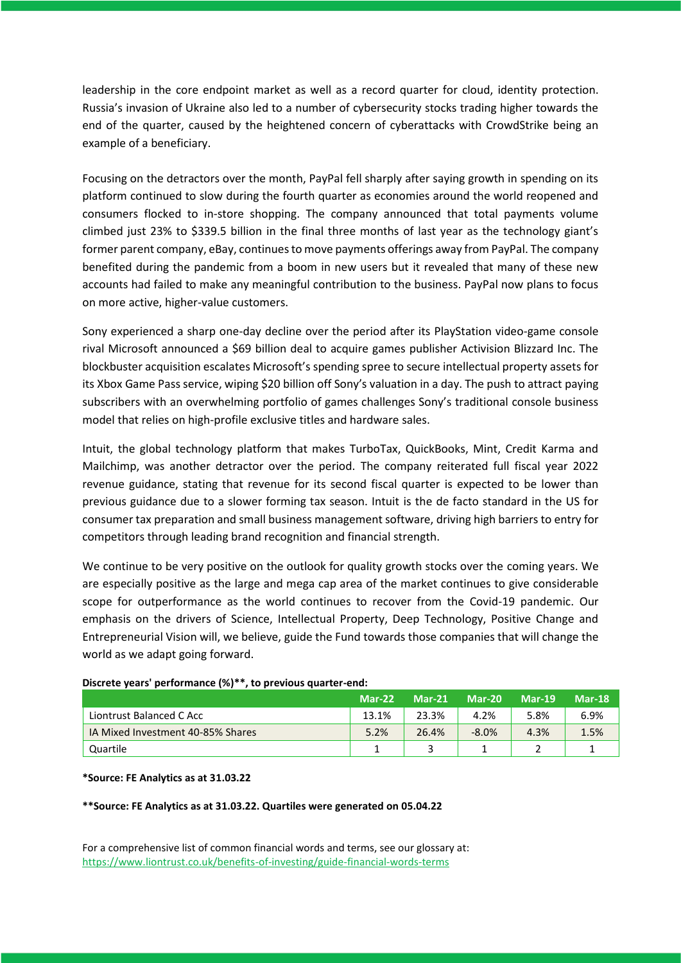leadership in the core endpoint market as well as a record quarter for cloud, identity protection. Russia's invasion of Ukraine also led to a number of cybersecurity stocks trading higher towards the end of the quarter, caused by the heightened concern of cyberattacks with CrowdStrike being an example of a beneficiary.

Focusing on the detractors over the month, PayPal fell sharply after saying growth in spending on its platform continued to slow during the fourth quarter as economies around the world reopened and consumers flocked to in-store shopping. The company announced that total payments volume climbed just 23% to \$339.5 billion in the final three months of last year as the technology giant's former parent company, eBay, continues to move payments offerings away from PayPal. The company benefited during the pandemic from a boom in new users but it revealed that many of these new accounts had failed to make any meaningful contribution to the business. PayPal now plans to focus on more active, higher-value customers.

Sony experienced a sharp one-day decline over the period after its PlayStation video-game console rival Microsoft announced a \$69 billion deal to acquire games publisher Activision Blizzard Inc. The blockbuster acquisition escalates Microsoft's spending spree to secure intellectual property assets for its Xbox Game Pass service, wiping \$20 billion off Sony's valuation in a day. The push to attract paying subscribers with an overwhelming portfolio of games challenges Sony's traditional console business model that relies on high-profile exclusive titles and hardware sales.

Intuit, the global technology platform that makes TurboTax, QuickBooks, Mint, Credit Karma and Mailchimp, was another detractor over the period. The company reiterated full fiscal year 2022 revenue guidance, stating that revenue for its second fiscal quarter is expected to be lower than previous guidance due to a slower forming tax season. Intuit is the de facto standard in the US for consumer tax preparation and small business management software, driving high barriers to entry for competitors through leading brand recognition and financial strength.

We continue to be very positive on the outlook for quality growth stocks over the coming years. We are especially positive as the large and mega cap area of the market continues to give considerable scope for outperformance as the world continues to recover from the Covid-19 pandemic. Our emphasis on the drivers of Science, Intellectual Property, Deep Technology, Positive Change and Entrepreneurial Vision will, we believe, guide the Fund towards those companies that will change the world as we adapt going forward.

#### **Discrete years' performance (%)\*\*, to previous quarter-end:**

|                                   | $Mar-22$ | $Mar-21$ | $Mar-20$ | <b>Mar-19</b> | <b>Mar-18</b> |
|-----------------------------------|----------|----------|----------|---------------|---------------|
| Liontrust Balanced C Acc          | 13.1%    | 23.3%    | 4.2%     | 5.8%          | 6.9%          |
| IA Mixed Investment 40-85% Shares | 5.2%     | 26.4%    | $-8.0%$  | 4.3%          | 1.5%          |
| Quartile                          |          |          |          | -             |               |

#### **\*Source: FE Analytics as at 31.03.22**

**\*\*Source: FE Analytics as at 31.03.22. Quartiles were generated on 05.04.22**

For a comprehensive list of common financial words and terms, see our glossary at: <https://www.liontrust.co.uk/benefits-of-investing/guide-financial-words-terms>